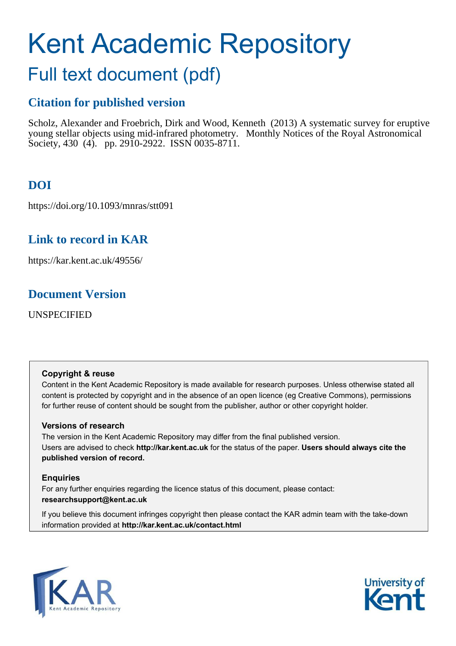# <span id="page-0-1"></span>Kent Academic Repository

## Full text document (pdf)

## **Citation for published version**

Scholz, Alexander and Froebrich, Dirk and Wood, Kenneth (2013) A systematic survey for eruptive young stellar objects using mid-infrared photometry. Monthly Notices of the Royal Astronomical Society, 430 (4). pp. 2910-2922. ISSN 0035-8711.

## **DOI**

https://doi.org/10.1093/mnras/stt091

## **Link to record in KAR**

https://kar.kent.ac.uk/49556/

## **Document Version**

UNSPECIFIED

## **Copyright & reuse**

Content in the Kent Academic Repository is made available for research purposes. Unless otherwise stated all content is protected by copyright and in the absence of an open licence (eg Creative Commons), permissions for further reuse of content should be sought from the publisher, author or other copyright holder.

## **Versions of research**

<span id="page-0-0"></span>The version in the Kent Academic Repository may differ from the final published version. Users are advised to check **http://kar.kent.ac.uk** for the status of the paper. **Users should always cite the published version of record.**

## **Enquiries**

For any further enquiries regarding the licence status of this document, please contact: **researchsupport@kent.ac.uk**

If you believe this document infringes copyright then please contact the KAR admin team with the take-down information provided at **http://kar.kent.ac.uk/contact.html**



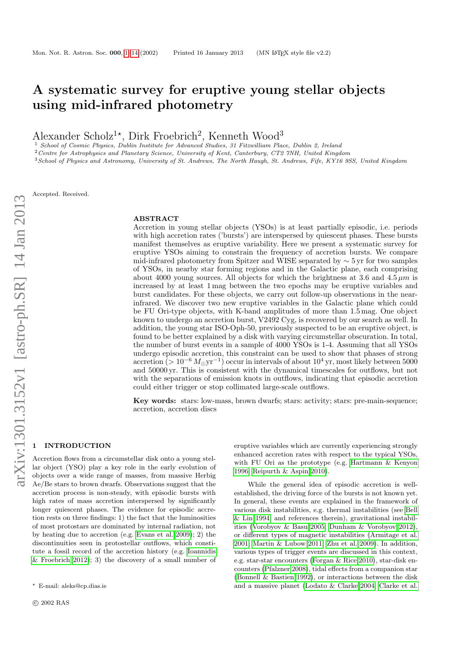## A systematic survey for eruptive young stellar objects using mid-infrared photometry

Alexander Scholz<sup>1\*</sup>, Dirk Froebrich<sup>2</sup>, Kenneth Wood<sup>3</sup>

<sup>1</sup> School of Cosmic Physics, Dublin Institute for Advanced Studies, 31 Fitzwilliam Place, Dublin 2, Ireland

 $2$  Centre for Astrophysics and Planetary Science, University of Kent, Canterbury, CT2  $7NH$ , United Kingdom

<sup>3</sup>School of Physics and Astronomy, University of St. Andrews, The North Haugh, St. Andrews, Fife, KY16 9SS, United Kingdom

Accepted. Received.

#### ABSTRACT

Accretion in young stellar objects (YSOs) is at least partially episodic, i.e. periods with high accretion rates ('bursts') are interspersed by quiescent phases. These bursts manifest themselves as eruptive variability. Here we present a systematic survey for eruptive YSOs aiming to constrain the frequency of accretion bursts. We compare mid-infrared photometry from Spitzer and WISE separated by  $\sim$  5 yr for two samples of YSOs, in nearby star forming regions and in the Galactic plane, each comprising about 4000 young sources. All objects for which the brightness at 3.6 and  $4.5 \mu m$  is increased by at least 1 mag between the two epochs may be eruptive variables and burst candidates. For these objects, we carry out follow-up observations in the nearinfrared. We discover two new eruptive variables in the Galactic plane which could be FU Ori-type objects, with K-band amplitudes of more than 1.5 mag. One object known to undergo an accretion burst, V2492 Cyg, is recovered by our search as well. In addition, the young star ISO-Oph-50, previously suspected to be an eruptive object, is found to be better explained by a disk with varying circumstellar obscuration. In total, the number of burst events in a sample of 4000 YSOs is 1-4. Assuming that all YSOs undergo episodic accretion, this constraint can be used to show that phases of strong accretion (> 10<sup>-6</sup>  $M_{\odot}$ yr<sup>-1</sup>) occur in intervals of about 10<sup>4</sup> yr, most likely between 5000 and 50000 yr. This is consistent with the dynamical timescales for outflows, but not with the separations of emission knots in outflows, indicating that episodic accretion could either trigger or stop collimated large-scale outflows.

Key words: stars: low-mass, brown dwarfs; stars: activity; stars: pre-main-sequence; accretion, accretion discs

#### <span id="page-1-0"></span>**INTRODUCTION**

<span id="page-1-1"></span>Accretion flows from a circumstellar disk onto a young stellar object (YSO) play a key role in the early evolution of objects over a wide range of masses, from massive Herbig Ae/Be stars to brown dwarfs. Observations suggest that the accretion process is non-steady, with episodic bursts with high rates of mass accretion interspersed by significantly longer quiescent phases. The evidence for episodic accretion rests on three findings: 1) the fact that the luminosities of most protostars are dominated by internal radiation, not by heating due to accretion (e.g. [Evans et al. 2009\)](#page-13-0); 2) the discontinuities seen in protostellar outflows, which constitute a fossil record of the accretion history (e.g. [Ioannidis](#page-13-1) [& Froebrich 2012\)](#page-13-1); 3) the discovery of a small number of

eruptive variables which are currently experiencing strongly enhanced accretion rates with respect to the typical YSOs, with FU Ori as the prototype (e.g. [Hartmann & Kenyon](#page-13-2) [1996;](#page-13-2) [Reipurth & Aspin 2010\)](#page-13-3).

While the general idea of episodic accretion is wellestablished, the driving force of the bursts is not known yet. In general, these events are explained in the framework of various disk instabilities, e.g. thermal instabilities (see [Bell](#page-13-4) [& Lin 1994,](#page-13-4) and references therein), gravitational instabilities [\(Vorobyov & Basu 2005;](#page-13-5) [Dunham & Vorobyov 2012\)](#page-13-6), or different types of magnetic instabilities [\(Armitage et al.](#page-12-0) [2001;](#page-12-0) [Martin & Lubow 2011;](#page-13-7) [Zhu et al. 2009\)](#page-13-8). In addition, various types of trigger events are discussed in this context, e.g. star-star encounters [\(Forgan & Rice 2010\)](#page-13-9), star-disk encounters [\(Pfalzner 2008\)](#page-13-10), tidal effects from a companion star [\(Bonnell & Bastien 1992\)](#page-13-11), or interactions between the disk and a massive planet [\(Lodato & Clarke 2004;](#page-13-12) [Clarke et al.](#page-13-13)

<sup>⋆</sup> E-mail: aleks@cp.dias.ie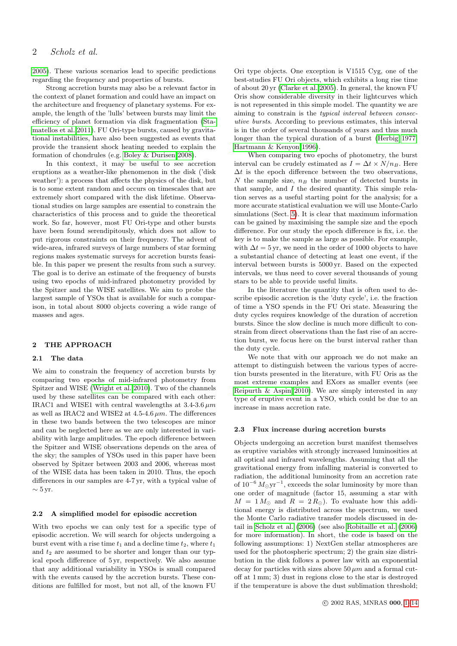[2005\)](#page-13-13). These various scenarios lead to specific predictions regarding the frequency and properties of bursts.

Strong accretion bursts may also be a relevant factor in the context of planet formation and could have an impact on the architecture and frequency of planetary systems. For example, the length of the 'lulls' between bursts may limit the efficiency of planet formation via disk fragmentation [\(Sta](#page-13-14)[matellos et al. 2011\)](#page-13-14). FU Ori-type bursts, caused by gravitational instabilities, have also been suggested as events that provide the transient shock heating needed to explain the formation of chondrules (e.g. [Boley & Durisen 2008\)](#page-13-15).

In this context, it may be useful to see accretion eruptions as a weather-like phenomenon in the disk ('disk weather'): a process that affects the physics of the disk, but is to some extent random and occurs on timescales that are extremely short compared with the disk lifetime. Observational studies on large samples are essential to constrain the characteristics of this process and to guide the theoretical work. So far, however, most FU Ori-type and other bursts have been found serendipitously, which does not allow to put rigorous constraints on their frequency. The advent of wide-area, infrared surveys of large numbers of star forming regions makes systematic surveys for accretion bursts feasible. In this paper we present the results from such a survey. The goal is to derive an estimate of the frequency of bursts using two epochs of mid-infrared photometry provided by the Spitzer and the WISE satellites. We aim to probe the largest sample of YSOs that is available for such a comparison, in total about 8000 objects covering a wide range of masses and ages.

#### 2 THE APPROACH

#### 2.1 The data

We aim to constrain the frequency of accretion bursts by comparing two epochs of mid-infrared photometry from Spitzer and WISE [\(Wright et al. 2010\)](#page-13-16). Two of the channels used by these satellites can be compared with each other: IRAC1 and WISE1 with central wavelengths at  $3.4\n-3.6 \mu m$ as well as IRAC2 and WISE2 at  $4.5\n-4.6 \mu m$ . The differences in these two bands between the two telescopes are minor and can be neglected here as we are only interested in variability with large amplitudes. The epoch difference between the Spitzer and WISE observations depends on the area of the sky; the samples of YSOs used in this paper have been observed by Spitzer between 2003 and 2006, whereas most of the WISE data has been taken in 2010. Thus, the epoch differences in our samples are 4-7 yr, with a typical value of  $\sim$  5 yr.

#### 2.2 A simplified model for episodic accretion

<span id="page-2-0"></span>With two epochs we can only test for a specific type of episodic accretion. We will search for objects undergoing a burst event with a rise time  $t_1$  and a decline time  $t_2$ , where  $t_1$ and  $t_2$  are assumed to be shorter and longer than our typical epoch difference of 5 yr, respectively. We also assume that any additional variability in YSOs is small compared with the events caused by the accretion bursts. These conditions are fulfilled for most, but not all, of the known FU

Ori type objects. One exception is V1515 Cyg, one of the best-studies FU Ori objects, which exhibits a long rise time of about 20 yr [\(Clarke et al. 2005\)](#page-13-13). In general, the known FU Oris show considerable diversity in their lightcurves which is not represented in this simple model. The quantity we are aiming to constrain is the typical interval between consecutive bursts. According to previous estimates, this interval is in the order of several thousands of years and thus much longer than the typical duration of a burst [\(Herbig 1977;](#page-13-17) [Hartmann & Kenyon 1996\)](#page-13-2).

When comparing two epochs of photometry, the burst interval can be crudely estimated as  $I = \Delta t \times N/n_B$ . Here  $\Delta t$  is the epoch difference between the two observations,  $N$  the sample size,  $n_B$  the number of detected bursts in that sample, and I the desired quantity. This simple relation serves as a useful starting point for the analysis; for a more accurate statistical evaluation we will use Monte-Carlo simulations (Sect. [5\)](#page-9-0). It is clear that maximum information can be gained by maximising the sample size and the epoch difference. For our study the epoch difference is fix, i.e. the key is to make the sample as large as possible. For example, with  $\Delta t = 5$  yr, we need in the order of 1000 objects to have a substantial chance of detecting at least one event, if the interval between bursts is 5000 yr. Based on the expected intervals, we thus need to cover several thousands of young stars to be able to provide useful limits.

In the literature the quantity that is often used to describe episodic accretion is the 'duty cycle', i.e. the fraction of time a YSO spends in the FU Ori state. Measuring the duty cycles requires knowledge of the duration of accretion bursts. Since the slow decline is much more difficult to constrain from direct observations than the fast rise of an accretion burst, we focus here on the burst interval rather than the duty cycle.

We note that with our approach we do not make an attempt to distinguish between the various types of accretion bursts presented in the literature, with FU Oris as the most extreme examples and EXors as smaller events (see [Reipurth & Aspin 2010\)](#page-13-3). We are simply interested in any type of eruptive event in a YSO, which could be due to an increase in mass accretion rate.

#### 2.3 Flux increase during accretion bursts

Objects undergoing an accretion burst manifest themselves as eruptive variables with strongly increased luminosities at all optical and infrared wavelengths. Assuming that all the gravitational energy from infalling material is converted to radiation, the additional luminosity from an accretion rate of  $10^{-6} M_{\odot}$ yr<sup>-1</sup>, exceeds the solar luminosity by more than one order of magnitude (factor 15, assuming a star with  $M = 1 M_{\odot}$  and  $R = 2 R_{\odot}$ ). To evaluate how this additional energy is distributed across the spectrum, we used the Monte Carlo radiative transfer models discussed in detail in [Scholz et al. \(2006\)](#page-13-18) (see also [Robitaille et al. \(2006\)](#page-13-19) for more information). In short, the code is based on the following assumptions: 1) NextGen stellar atmospheres are used for the photospheric spectrum; 2) the grain size distribution in the disk follows a power law with an exponential decay for particles with sizes above  $50 \mu m$  and a formal cutoff at 1 mm; 3) dust in regions close to the star is destroyed if the temperature is above the dust sublimation threshold;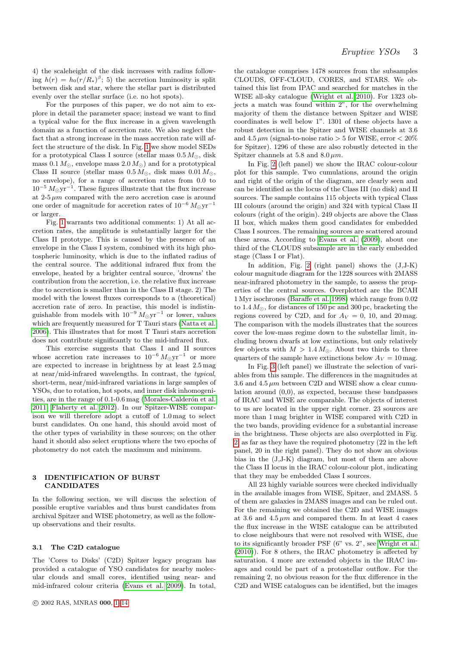4) the scaleheight of the disk increases with radius following  $h(r) = h_0(r/R_\star)^{\beta}$ ; 5) the accretion luminosity is split between disk and star, where the stellar part is distributed evenly over the stellar surface (i.e. no hot spots).

For the purposes of this paper, we do not aim to explore in detail the parameter space; instead we want to find a typical value for the flux increase in a given wavelength domain as a function of accretion rate. We also neglect the fact that a strong increase in the mass accretion rate will affect the structure of the disk. In Fig. [1](#page-3-0) we show model SEDs for a prototypical Class I source (stellar mass  $0.5 M_{\odot}$ , disk mass  $0.1 M_{\odot}$ , envelope mass  $2.0 M_{\odot}$ ) and for a prototypical Class II source (stellar mass  $0.5 M_{\odot}$ , disk mass  $0.01 M_{\odot}$ , no envelope), for a range of accretion rates from 0.0 to  $10^{-5} M_{\odot} \text{yr}^{-1}$ . These figures illustrate that the flux increase at  $2-5 \mu m$  compared with the zero accretion case is around one order of magnitude for accretion rates of  $10^{-6} M_{\odot} \text{yr}^{-1}$ or larger.

<span id="page-3-0"></span>Fig. [1](#page-3-0) warrants two additional comments: 1) At all accretion rates, the amplitude is substantially larger for the Class II prototype. This is caused by the presence of an envelope in the Class I system, combined with its high photospheric luminosity, which is due to the inflated radius of the central source. The additional infrared flux from the envelope, heated by a brighter central source, 'drowns' the contribution from the accretion, i.e. the relative flux increase due to accretion is smaller than in the Class II stage. 2) The model with the lowest fluxes corresponds to a (theoretical) accretion rate of zero. In practise, this model is indistinguishable from models with  $10^{-9} M_{\odot}yr^{-1}$  or lower, values which are frequently measured for T Tauri stars [\(Natta et al.](#page-13-20) [2006\)](#page-13-20). This illustrates that for most T Tauri stars accretion does not contribute significantly to the mid-infrared flux.

<span id="page-3-1"></span>This exercise suggests that Class I and II sources whose accretion rate increases to  $10^{-6} M_{\odot} \text{yr}^{-1}$  or more are expected to increase in brightness by at least 2.5 mag at near/mid-infrared wavelengths. In contrast, the typical, short-term, near/mid-infrared variations in large samples of YSOs, due to rotation, hot spots, and inner disk inhomogenities, are in the range of  $0.1$ - $0.6$  mag (Morales-Calderón et al. [2011;](#page-13-21) [Flaherty et al. 2012\)](#page-13-22). In our Spitzer-WISE comparison we will therefore adopt a cutoff of 1.0 mag to select burst candidates. On one hand, this should avoid most of the other types of variability in these sources; on the other hand it should also select eruptions where the two epochs of photometry do not catch the maximum and minimum.

#### <span id="page-3-2"></span>3 IDENTIFICATION OF BURST CANDIDATES

In the following section, we will discuss the selection of possible eruptive variables and thus burst candidates from archival Spitzer and WISE photometry, as well as the followup observations and their results.

#### 3.1 The C2D catalogue

The 'Cores to Disks' (C2D) Spitzer legacy program has provided a catalogue of YSO candidates for nearby molecular clouds and small cores, identified using near- and mid-infrared colour criteria [\(Evans et al. 2009\)](#page-13-0). In total,

the catalogue comprises 1478 sources from the subsamples CLOUDS, OFF-CLOUD, CORES, and STARS. We obtained this list from IPAC and searched for matches in the WISE all-sky catalogue [\(Wright et al. 2010\)](#page-13-16). For 1323 objects a match was found within 2", for the overwhelming majority of them the distance between Spitzer and WISE coordinates is well below 1". 1301 of these objects have a robust detection in the Spitzer and WISE channels at 3.6 and  $4.5 \mu m$  (signal-to-noise ratio  $> 5$  for WISE, error  $< 20\%$ for Spitzer). 1296 of these are also robustly detected in the Spitzer channels at 5.8 and  $8.0 \mu m$ .

In Fig. [2](#page-3-1) (left panel) we show the IRAC colour-colour plot for this sample. Two cumulations, around the origin and right of the origin of the diagram, are clearly seen and can be identified as the locus of the Class III (no disk) and II sources. The sample contains 115 objects with typical Class III colours (around the origin) and 324 with typical Class II colours (right of the origin). 249 objects are above the Class II box, which makes them good candidates for embedded Class I sources. The remaining sources are scattered around these areas. According to [Evans et al. \(2009\)](#page-13-0), about one third of the CLOUDS subsample are in the early embedded stage (Class I or Flat).

In addition, Fig. [2](#page-3-1) (right panel) shows the (J,J-K) colour magnitude diagram for the 1228 sources with 2MASS near-infrared photometry in the sample, to assess the properties of the central sources. Overplotted are the BCAH 1 Myr isochrones [\(Baraffe et al. 1998\)](#page-12-1) which range from 0.02 to  $1.4 M_{\odot}$ , for distances of 150 pc and 300 pc, bracketing the regions covered by C2D, and for  $A_V = 0$ , 10, and 20 mag. The comparison with the models illustrates that the sources cover the low-mass regime down to the substellar limit, including brown dwarfs at low extinctions, but only relatively few objects with  $M > 1.4 M_{\odot}$ . About two thirds to three quarters of the sample have extinctions below  $A_V = 10$  mag.

In Fig. [3](#page-4-0) (left panel) we illustrate the selection of variables from this sample. The differences in the magnitudes at 3.6 and  $4.5 \mu m$  between C2D and WISE show a clear cumulation around (0,0), as expected, because these bandpasses of IRAC and WISE are comparable. The objects of interest to us are located in the upper right corner. 23 sources are more than 1 mag brighter in WISE compared with C2D in the two bands, providing evidence for a substantial increase in the brightness. These objects are also overplotted in Fig. [2,](#page-3-1) as far as they have the required photometry (22 in the left panel, 20 in the right panel). They do not show an obvious bias in the (J,J-K) diagram, but most of them are above the Class II locus in the IRAC colour-colour plot, indicating that they may be embedded Class I sources.

All 23 highly variable sources were checked individually in the available images from WISE, Spitzer, and 2MASS. 5 of them are galaxies in 2MASS images and can be ruled out. For the remaining we obtained the C2D and WISE images at 3.6 and  $4.5 \mu m$  and compared them. In at least 4 cases the flux increase in the WISE catalogue can be attributed to close neighbours that were not resolved with WISE, due to its significantly broader PSF (6" vs. 2", see [Wright et al.](#page-13-16) [\(2010\)](#page-13-16)). For 8 others, the IRAC photometry is affected by saturation. 4 more are extended objects in the IRAC images and could be part of a protostellar outflow. For the remaining 2, no obvious reason for the flux difference in the C2D and WISE catalogues can be identified, but the images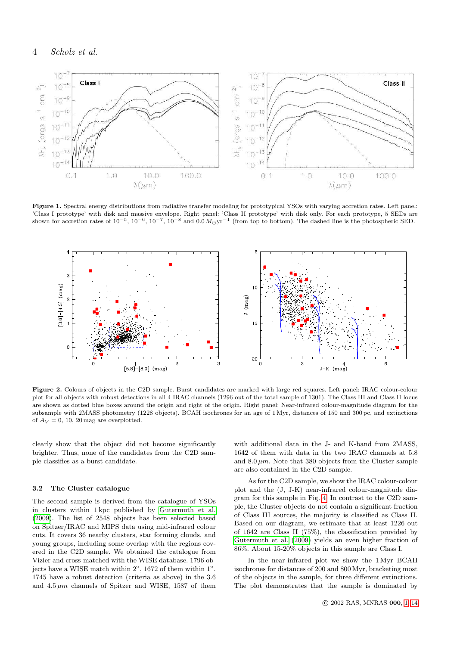

<span id="page-4-0"></span>Figure 1. Spectral energy distributions from radiative transfer modeling for prototypical YSOs with varying accretion rates. Left panel: 'Class I prototype' with disk and massive envelope. Right panel: 'Class II prototype' with disk only. For each prototype, 5 SEDs are shown for accretion rates of  $10^{-5}$ ,  $10^{-6}$ ,  $10^{-7}$ ,  $10^{-8}$  and  $0.0 M_{\odot}yr^{-1}$  (from top to bottom). The dashed line is the photospheric SED.



<span id="page-4-1"></span>Figure 2. Colours of objects in the C2D sample. Burst candidates are marked with large red squares. Left panel: IRAC colour-colour plot for all objects with robust detections in all 4 IRAC channels (1296 out of the total sample of 1301). The Class III and Class II locus are shown as dotted blue boxes around the origin and right of the origin. Right panel: Near-infrared colour-magnitude diagram for the subsample with 2MASS photometry (1228 objects). BCAH isochrones for an age of 1 Myr, distances of 150 and 300 pc, and extinctions of  $A_V = 0$ , 10, 20 mag are overplotted.

clearly show that the object did not become significantly brighter. Thus, none of the candidates from the C2D sample classifies as a burst candidate.

#### 3.2 The Cluster catalogue

The second sample is derived from the catalogue of YSOs in clusters within 1 kpc published by [Gutermuth et al.](#page-13-23) [\(2009\)](#page-13-23). The list of 2548 objects has been selected based on Spitzer/IRAC and MIPS data using mid-infrared colour cuts. It covers 36 nearby clusters, star forming clouds, and young groups, including some overlap with the regions covered in the C2D sample. We obtained the catalogue from Vizier and cross-matched with the WISE database. 1796 objects have a WISE match within 2", 1672 of them within 1". 1745 have a robust detection (criteria as above) in the 3.6 and  $4.5 \mu m$  channels of Spitzer and WISE, 1587 of them

with additional data in the J- and K-band from 2MASS, 1642 of them with data in the two IRAC channels at 5.8 and  $8.0 \mu m$ . Note that 380 objects from the Cluster sample are also contained in the C2D sample.

As for the C2D sample, we show the IRAC colour-colour plot and the (J, J-K) near-infrared colour-magnitude diagram for this sample in Fig. [4.](#page-4-1) In contrast to the C2D sample, the Cluster objects do not contain a significant fraction of Class III sources, the majority is classified as Class II. Based on our diagram, we estimate that at least 1226 out of 1642 are Class II (75%), the classification provided by [Gutermuth et al. \(2009\)](#page-13-23) yields an even higher fraction of 86%. About 15-20% objects in this sample are Class I.

<span id="page-4-2"></span>In the near-infrared plot we show the 1 Myr BCAH isochrones for distances of 200 and 800 Myr, bracketing most of the objects in the sample, for three different extinctions. The plot demonstrates that the sample is dominated by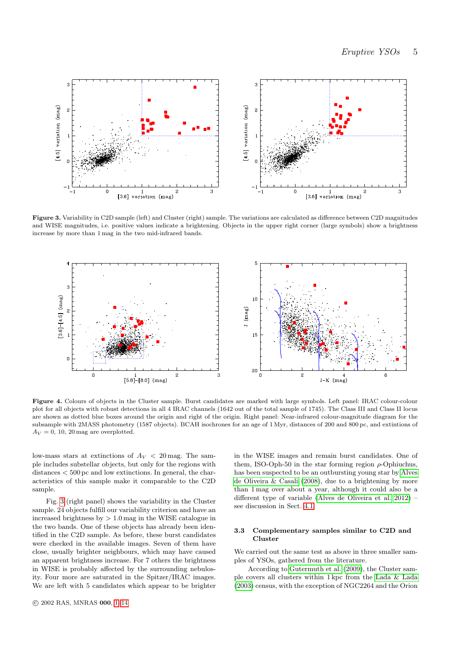

Figure 3. Variability in C2D sample (left) and Cluster (right) sample. The variations are calculated as difference between C2D magnitudes and WISE magnitudes, i.e. positive values indicate a brightening. Objects in the upper right corner (large symbols) show a brightness increase by more than 1 mag in the two mid-infrared bands.

<span id="page-5-0"></span>

Figure 4. Colours of objects in the Cluster sample. Burst candidates are marked with large symbols. Left panel: IRAC colour-colour plot for all objects with robust detections in all 4 IRAC channels (1642 out of the total sample of 1745). The Class III and Class II locus are shown as dotted blue boxes around the origin and right of the origin. Right panel: Near-infrared colour-magnitude diagram for the subsample with 2MASS photometry (1587 objects). BCAH isochrones for an age of 1 Myr, distances of 200 and 800 pc, and extintions of  $A_V = 0$ , 10, 20 mag are overplotted.

low-mass stars at extinctions of  $A_V < 20$  mag. The sample includes substellar objects, but only for the regions with distances < 500 pc and low extinctions. In general, the characteristics of this sample make it comparable to the C2D sample.

Fig. [3](#page-4-0) (right panel) shows the variability in the Cluster sample. 24 objects fulfill our variability criterion and have an increased brightness by  $> 1.0$  mag in the WISE catalogue in the two bands. One of these objects has already been identified in the C2D sample. As before, these burst candidates were checked in the available images. Seven of them have close, usually brighter neighbours, which may have caused an apparent brightness increase. For 7 others the brightness in WISE is probably affected by the surrounding nebulosity. Four more are saturated in the Spitzer/IRAC images. We are left with 5 candidates which appear to be brighter

in the WISE images and remain burst candidates. One of them, ISO-Oph-50 in the star forming region  $\rho$ -Ophiuchus, has been suspected to be an outbursting young star by [Alves](#page-12-2) [de Oliveira & Casali \(2008\)](#page-12-2), due to a brightening by more than 1 mag over about a year, although it could also be a different type of variable [\(Alves de Oliveira et al. 2012\)](#page-12-3) – see discussion in Sect. [4.1.](#page-8-0)

#### 3.3 Complementary samples similar to C2D and Cluster

We carried out the same test as above in three smaller samples of YSOs, gathered from the literature.

According to [Gutermuth et al. \(2009\)](#page-13-23), the Cluster sample covers all clusters within 1 kpc from the [Lada & Lada](#page-13-24) [\(2003\)](#page-13-24) census, with the exception of NGC2264 and the Orion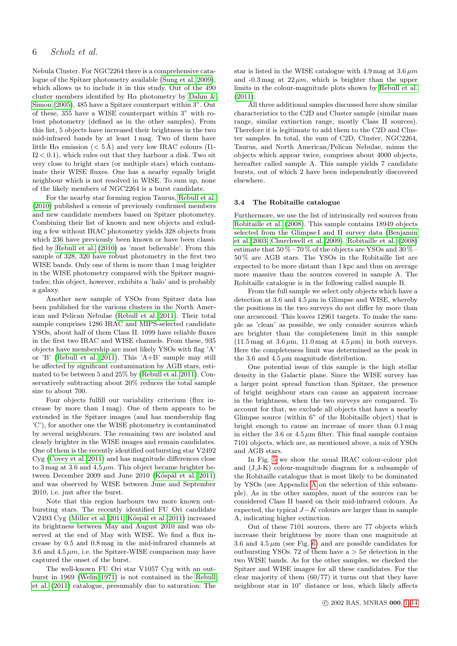#### 6 Scholz et al.

Nebula Cluster. For NGC2264 there is a comprehensive catalogue of the Spitzer photometry available [\(Sung et al. 2009\)](#page-13-25), which allows us to include it in this study. Out of the 490 cluster members identified by  $H\alpha$  photometry by [Dahm &](#page-13-26) [Simon \(2005\)](#page-13-26), 485 have a Spitzer counterpart within 3". Out of these, 355 have a WISE counterpart within 3" with robust photometry (defined as in the other samples). From this list, 5 objects have increased their brightness in the two mid-infrared bands by at least 1 mag. Two of them have little H $\alpha$  emission ( $< 5 \text{ Å}$ ) and very low IRAC colours (I1- $I2 < 0.1$ , which rules out that they harbour a disk. Two sit very close to bright stars (or multiple stars) which contaminate their WISE fluxes. One has a nearby equally bright neighbour which is not resolved in WISE. To sum up, none of the likely members of NGC2264 is a burst candidate.

<span id="page-6-0"></span>For the nearby star forming region Taurus, [Rebull et al.](#page-13-27) [\(2010\)](#page-13-27) published a census of previously confirmed members and new candidate members based on Spitzer photometry. Combining their list of known and new objects and exluding a few without IRAC photometry yields 328 objects from which 236 have previously been known or have been classified by [Rebull et al. \(2010\)](#page-13-27) as 'most believable'. From this sample of 328, 320 have robust photometry in the first two WISE bands. Only one of them is more than 1 mag brighter in the WISE photometry compared with the Spitzer magnitudes; this object, however, exhibits a 'halo' and is probably a galaxy.

Another new sample of YSOs from Spitzer data has been published for the various clusters in the North American and Pelican Nebulae [\(Rebull et al. 2011\)](#page-13-28). Their total sample comprises 1286 IRAC and MIPS-selected candidate YSOs, about half of them Class II. 1099 have reliable fluxes in the first two IRAC and WISE channels. From these, 935 objects have membership are most likely YSOs with flag 'A' or 'B' [\(Rebull et al. 2011\)](#page-13-28). This 'A+B' sample may still be affected by significant contamination by AGB stars, estimated to be between 5 and 25% by [\(Rebull et al. 2011\)](#page-13-28). Conservatively subtracting about 20% reduces the total sample size to about 700.

Four objects fulfill our variability criterium (flux increase by more than 1 mag). One of them appears to be extended in the Spitzer images (and has membership flag 'C'), for another one the WISE photometry is contaminated by several neighbours. The remaining two are isolated and clearly brighter in the WISE images and remain candidates. One of them is the recently identified outbursting star V2492 Cyg [\(Covey et al. 2011\)](#page-13-29) and has magnitude differences close to 3 mag at 3.6 and 4.5  $\mu$ m. This object became brighter between December 2009 and June 2010 (Kóspál et al. 2011) and was observed by WISE between June and September 2010, i.e. just after the burst.

Note that this region harbours two more known outbursting stars. The recently identified FU Ori candidate V2493 Cyg [\(Miller et al. 2011;](#page-13-31) Kóspál et al. 2011) increased its brightness between May and August 2010 and was observed at the end of May with WISE. We find a flux increase by 0.5 and 0.8 mag in the mid-infrared channels at 3.6 and 4.5  $\mu$ m, i.e. the Spitzer-WISE comparison may have captured the onset of the burst.

The well-known FU Ori star V1057 Cyg with an outburst in 1969 [\(Welin 1971\)](#page-13-32) is not contained in the [Rebull](#page-13-28) [et al. \(2011\)](#page-13-28) catalogue, presumably due to saturation: The <span id="page-6-1"></span>star is listed in the WISE catalogue with 4.9 mag at  $3.6 \mu m$ and  $-0.3$  mag at  $22 \mu m$ , which is brighter than the upper limits in the colour-magnitude plots shown by [Rebull et al.](#page-13-28) [\(2011\)](#page-13-28).

All three additional samples discussed here show similar characteristics to the C2D and Cluster sample (similar mass range, similar extinction range, mostly Class II sources). Therefore it is legitimate to add them to the C2D and Cluster samples. In total, the sum of C2D, Cluster, NGC2264, Taurus, and North American/Pelican Nebulae, minus the objects which appear twice, comprises about 4000 objects, hereafter called sample A. This sample yields 7 candidate bursts, out of which 2 have been independently discovered elsewhere.

#### 3.4 The Robitaille catalogue

Furthermore, we use the list of intrinsically red sources from [Robitaille et al. \(2008\)](#page-13-33). This sample contains 18949 objects selected from the Glimpse I and II survey data [\(Benjamin](#page-13-34) [et al. 2003;](#page-13-34) [Churchwell et al. 2009\)](#page-13-35). [Robitaille et al. \(2008\)](#page-13-33) estimate that  $50\%-70\%$  of the objects are YSOs and  $30\%$ 50 % are AGB stars. The YSOs in the Robitaille list are expected to be more distant than 1 kpc and thus on average more massive than the sources covered in sample A. The Robitaille catalogue is in the following called sample B.

From the full sample we select only objects which have a detection at 3.6 and 4.5  $\mu$ m in Glimpse and WISE, whereby the positions in the two surveys do not differ by more than one arcsecond. This leaves 12961 targets. To make the sample as 'clean' as possible, we only consider sources which are brighter than the completeness limit in this sample  $(11.5 \text{ mag at } 3.6 \mu \text{m}, 11.0 \text{ mag at } 4.5 \mu \text{m})$  in both surveys. Here the completeness limit was determined as the peak in the 3.6 and 4.5  $\mu$ m magnitude distribution.

One potential issue of this sample is the high stellar density in the Galactic plane. Since the WISE survey has a larger point spread function than Spitzer, the presence of bright neighbour stars can cause an apparent increase in the brightness, when the two surveys are compared. To account for that, we exclude all objects that have a nearby Glimpse source (within 6" of the Robitaille object) that is bright enough to cause an increase of more than 0.1 mag in either the 3.6 or  $4.5 \mu m$  filter. This final sample contains 7101 objects, which are, as mentioned above, a mix of YSOs and AGB stars.

In Fig. [5](#page-7-0) we show the usual IRAC colour-colour plot and (J,J-K) colour-magnitude diagram for a subsample of the Robitaille catalogue that is most likely to be dominated by YSOs (see Appendix [A](#page-12-4) on the selection of this subsample). As in the other samples, most of the sources can be considered Class II based on their mid-infrared colours. As expected, the typical  $J - K$  colours are larger than in sample A, indicating higher extinction.

Out of these 7101 sources, there are 77 objects which increase their brightness by more than one magnitude at 3.6 and 4.5  $\mu$ m (see Fig. [6\)](#page-6-0) and are possible candidates for outbursting YSOs. 72 of them have  $a > 5\sigma$  detection in the two WISE bands. As for the other samples, we checked the Spitzer and WISE images for all these candidates. For the clear majority of them (60/77) it turns out that they have neighbour star in 10" distance or less, which likely affects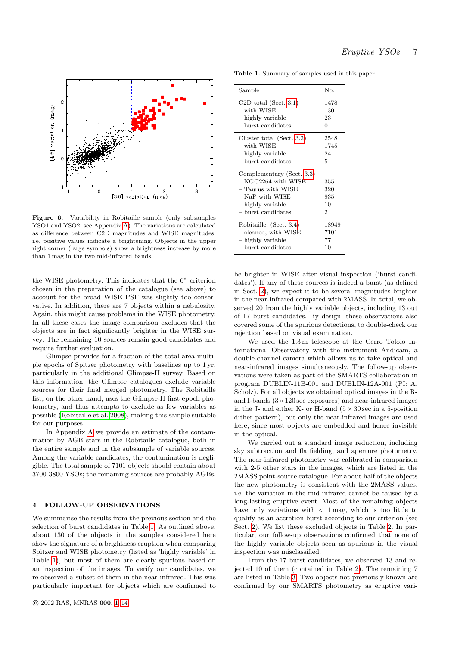

<span id="page-7-0"></span>Figure 6. Variability in Robitaille sample (only subsamples YSO1 and YSO2, see Appendix [A\)](#page-12-4). The variations are calculated as difference between C2D magnitudes and WISE magnitudes, i.e. positive values indicate a brightening. Objects in the upper right corner (large symbols) show a brightness increase by more than 1 mag in the two mid-infrared bands.

<span id="page-7-1"></span>the WISE photometry. This indicates that the 6" criterion chosen in the preparation of the catalogue (see above) to account for the broad WISE PSF was slightly too conservative. In addition, there are 7 objects within a nebulosity. Again, this might cause problems in the WISE photometry. In all these cases the image comparison excludes that the objects are in fact significantly brighter in the WISE survey. The remaining 10 sources remain good candidates and require further evaluation.

Glimpse provides for a fraction of the total area multiple epochs of Spitzer photometry with baselines up to 1 yr, particularly in the additional Glimpse-II survey. Based on this information, the Glimpse catalogues exclude variable sources for their final merged photometry. The Robitaille list, on the other hand, uses the Glimpse-II first epoch photometry, and thus attempts to exclude as few variables as possible [\(Robitaille et al. 2008\)](#page-13-33), making this sample suitable for our purposes.

In Appendix [A](#page-12-4) we provide an estimate of the contamination by AGB stars in the Robitaille catalogue, both in the entire sample and in the subsample of variable sources. Among the variable candidates, the contamination is negligible. The total sample of 7101 objects should contain about 3700-3800 YSOs; the remaining sources are probably AGBs.

#### <span id="page-7-2"></span>4 FOLLOW-UP OBSERVATIONS

We summarise the results from the previous section and the selection of burst candidates in Table [1,](#page-6-1) As outlined above, about 130 of the objects in the samples considered here show the signature of a brightness eruption when comparing Spitzer and WISE photometry (listed as 'highly variable' in Table [1\)](#page-6-1), but most of them are clearly spurious based on an inspection of the images. To verify our candidates, we re-observed a subset of them in the near-infrared. This was particularly important for objects which are confirmed to

Table 1. Summary of samples used in this paper

| Sample                                                                                                                               | No.                          |
|--------------------------------------------------------------------------------------------------------------------------------------|------------------------------|
| C <sub>2</sub> D total (Sect. 3.1)                                                                                                   | 1478                         |
| – with WISE                                                                                                                          | 1301                         |
| - highly variable                                                                                                                    | 23                           |
| $-$ burst candidates                                                                                                                 | $\Omega$                     |
| Cluster total (Sect. 3.2)                                                                                                            | 2548                         |
| – with WISE                                                                                                                          | 1745                         |
| - highly variable                                                                                                                    | 24                           |
| – burst candidates                                                                                                                   | 5                            |
| Complementary (Sect. 3.3)<br>– NGC2264 with WISE<br>– Taurus with WISE<br>– NaP with WISE<br>- highly variable<br>– burst candidates | 355<br>320<br>935<br>10<br>2 |
| Robitaille, (Sect. 3.4)                                                                                                              | 18949                        |
| - cleaned, with WISE                                                                                                                 | 7101                         |
| - highly variable                                                                                                                    | 77                           |
| – burst candidates                                                                                                                   | 10                           |

be brighter in WISE after visual inspection ('burst candidates'). If any of these sources is indeed a burst (as defined in Sect. [2\)](#page-1-0), we expect it to be several magnitudes brighter in the near-infrared compared with 2MASS. In total, we observed 20 from the highly variable objects, including 13 out of 17 burst candidates. By design, these observations also covered some of the spurious detections, to double-check our rejection based on visual examination.

We used the 1.3 m telescope at the Cerro Tololo International Observatory with the instrument Andicam, a double-channel camera which allows us to take optical and near-infrared images simultaneously. The follow-up observations were taken as part of the SMARTS collaboration in program DUBLIN-11B-001 and DUBLIN-12A-001 (PI: A. Scholz). For all objects we obtained optical images in the Rand I-bands  $(3 \times 120 \text{ sec}$  exposures) and near-infrared images in the J- and either K- or H-band  $(5 \times 30 \text{ sec in a } 5\text{-position})$ dither pattern), but only the near-infrared images are used here, since most objects are embedded and hence invisible in the optical.

We carried out a standard image reduction, including sky subtraction and flatfielding, and aperture photometry. The near-infrared photometry was calibrated in comparison with 2-5 other stars in the images, which are listed in the 2MASS point-source catalogue. For about half of the objects the new photometry is consistent with the 2MASS values, i.e. the variation in the mid-infrared cannot be caused by a long-lasting eruptive event. Most of the remaining objects have only variations with  $\langle$  1 mag, which is too little to qualify as an accretion burst according to our criterion (see Sect. [2\)](#page-1-0). We list these excluded objects in Table [2.](#page-7-1) In particular, our follow-up observations confirmed that none of the highly variable objects seen as spurious in the visual inspection was misclassified.

From the 17 burst candidates, we observed 13 and rejected 10 of them (contained in Table [2\)](#page-7-1). The remaining 7 are listed in Table [3.](#page-7-2) Two objects not previously known are confirmed by our SMARTS photometry as eruptive vari-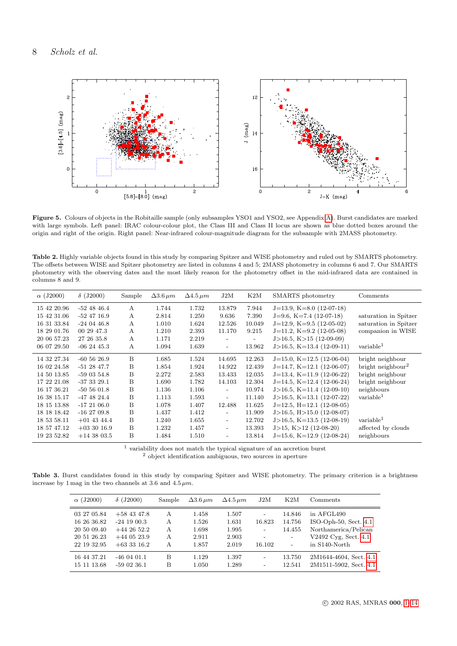<span id="page-8-1"></span>

<span id="page-8-2"></span><span id="page-8-0"></span>Figure 5. Colours of objects in the Robitaille sample (only subsamples YSO1 and YSO2, see Appendix [A\)](#page-12-4). Burst candidates are marked with large symbols. Left panel: IRAC colour-colour plot, the Class III and Class II locus are shown as blue dotted boxes around the origin and right of the origin. Right panel: Near-infrared colour-magnitude diagram for the subsample with 2MASS photometry.

Table 2. Highly variable objects found in this study by comparing Spitzer and WISE photometry and ruled out by SMARTS photometry. The offsets between WISE and Spitzer photometry are listed in columns 4 and 5; 2MASS photometry in columns 6 and 7. Our SMARTS photometry with the observing dates and the most likely reason for the photometry offset in the mid-infrared data are contained in columns 8 and 9.

| $\alpha$ (J2000) | $\delta$ (J2000) | Sample | $\Delta$ 3.6 $\mu$ m | $\Delta4.5 \,\mu m$ | J2M                      | K2M                      | SMARTS photometry              | Comments                      |
|------------------|------------------|--------|----------------------|---------------------|--------------------------|--------------------------|--------------------------------|-------------------------------|
| 15 42 20.96      | $-52$ 48 46.4    | А      | 1.744                | 1.732               | 13.879                   | 7.944                    | $J=13.9$ , K $=8.0$ (12-07-18) |                               |
| 15 42 31.06      | $-52$ 47 16.9    | A      | 2.814                | 1.250               | 9.636                    | 7.390                    | $J=9.6$ , K $=7.4$ (12-07-18)  | saturation in Spitzer         |
| 16 31 33.84      | $-240446.8$      | A      | 1.010                | 1.624               | 12.526                   | 10.049                   | $J=12.9$ , $K=9.5(12-05-02)$   | saturation in Spitzer         |
| 18 29 01.76      | 00 29 47.3       | А      | 1.210                | 2.393               | 11.170                   | 9.215                    | $J=11.2$ , $K=9.2$ (12-05-08)  | companion in WISE             |
| 20 06 57.23      | 27 26 35.8       | A      | 1.171                | 2.219               | $\overline{\phantom{a}}$ | $\overline{\phantom{a}}$ | $J>16.5, K>15$ (12-09-09)      |                               |
| 06 07 29.50      | $-062445.3$      | А      | 1.094                | 1.639               | $\overline{\phantom{a}}$ | 13.962                   | $J>16.5$ , K=13.4 (12-09-11)   | variable <sup>1</sup>         |
| 14 32 27.34      | $-605626.9$      | B      | 1.685                | 1.524               | 14.695                   | 12.263                   | $J=15.0$ , $K=12.5$ (12-06-04) | bright neighbour              |
| 16 02 24.58      | $-512847.7$      | B      | 1.854                | 1.924               | 14.922                   | 12.439                   | $J=14.7$ , $K=12.1$ (12-06-07) | bright neighbour <sup>2</sup> |
| 14 50 13.85      | $-590354.8$      | B      | 2.272                | 2.583               | 13.433                   | 12.035                   | $J=13.4$ , $K=11.9$ (12-06-22) | bright neighbour              |
| 17 22 21.08      | $-373329.1$      | B      | 1.690                | 1.782               | 14.103                   | 12.304                   | $J=14.5, K=12.4 (12-06-24)$    | bright neighbour              |
| 16 17 36.21      | $-505601.8$      | B      | 1.136                | 1.106               | $\overline{\phantom{a}}$ | 10.974                   | $J>16.5$ , K=11.4 (12-09-10)   | neighbours                    |
| 16 38 15.17      | $-47$ 48 24.4    | B      | 1.113                | 1.593               | $\overline{\phantom{a}}$ | 11.140                   | $J>16.5$ , K=13.1 (12-07-22)   | variable <sup>1</sup>         |
| 18 15 13.88      | $-172106.0$      | B      | 1.078                | 1.407               | 12.488                   | 11.625                   | $J=12.5$ , $H=12.1$ (12-08-05) |                               |
| 18 18 18 12      | $-162709.8$      | B      | 1.437                | 1.412               | $\overline{\phantom{a}}$ | 11.909                   | $J>16.5$ , $H>15.0$ (12-08-07) |                               |
| 18 53 58.11      | $+01$ 43 44.4    | B      | 1.240                | 1.655               | $\overline{\phantom{a}}$ | 12.702                   | $J>16.5$ , K=13.5 (12-08-19)   | variable <sup>1</sup>         |
| 18 57 47.12      | $+033016.9$      | B      | 1.232                | 1.457               | $\overline{\phantom{a}}$ | 13.393                   | $J>15$ , $K>12$ (12-08-20)     | affected by clouds            |
| 19 23 52.82      | $+14$ 38 03.5    | B      | 1.484                | 1.510               | $\overline{\phantom{a}}$ | 13.814                   | $J=15.6$ , $K=12.9$ (12-08-24) | neighbours                    |

 $^{\rm 1}$  variability does not match the typical signature of an accretion burst <sup>2</sup> object identification ambiguous, two sources in aperture

Table 3. Burst candidates found in this study by comparing Spitzer and WISE photometry. The primary criterion is a brightness increase by 1 mag in the two channels at 3.6 and  $4.5 \mu m$ .

| $\alpha$ (J2000)                                                        | $\delta$ (J2000)                                                                    | Sample                | $\Delta 3.6 \,\mu m$                      | $\Delta4.5 \,\mu m$                       | J2M                                                    | K2M                                                                                | Comments                                                                                                   |
|-------------------------------------------------------------------------|-------------------------------------------------------------------------------------|-----------------------|-------------------------------------------|-------------------------------------------|--------------------------------------------------------|------------------------------------------------------------------------------------|------------------------------------------------------------------------------------------------------------|
| 03 27 05.84<br>16 26 36.82<br>20 50 09.40<br>20 51 26.23<br>22 19 32.95 | $+58$ 43 47.8<br>$-24$ 19 00.3<br>$+44\;26\;52.2$<br>$+44$ 05 23.9<br>$+63$ 33 16.2 | A<br>A<br>A<br>A<br>A | 1.458<br>1.526<br>1.698<br>2.911<br>1.857 | 1.507<br>1.631<br>1.995<br>2.903<br>2.019 | $\overline{\phantom{a}}$<br>16.823<br>$\sim$<br>16.102 | 14.846<br>14.756<br>14.455<br>$\overline{\phantom{a}}$<br>$\overline{\phantom{a}}$ | in AFGL490<br>ISO-Oph- $50$ , Sect. $4.1$<br>Northamerica/Pelican<br>V2492 Cvg, Sect. 4.1<br>in S140-North |
| 16 44 37.21<br>15 11 13.68                                              | $-460401.1$<br>$-590236.1$                                                          | B<br>B                | 1.129<br>1.050                            | 1.397<br>1.289                            | -<br>$\overline{\phantom{a}}$                          | 13.750<br>12.541                                                                   | 2M1644-4604, Sect. 4.1<br>2M1511-5902, Sect. 4.1                                                           |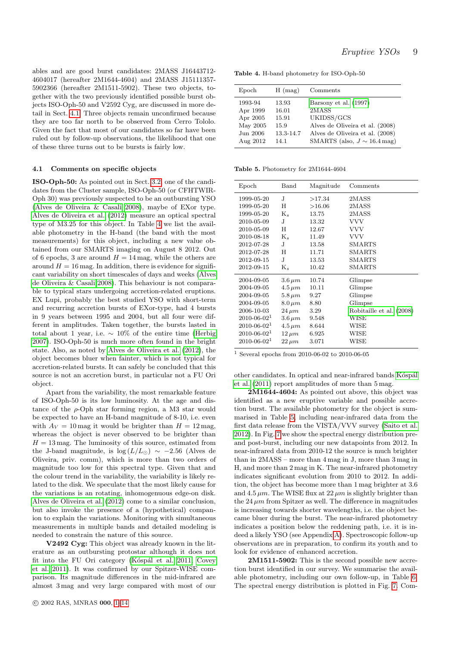<span id="page-9-1"></span>ables and are good burst candidates: 2MASS J16443712- 4604017 (hereafter 2M1644-4604) and 2MASS J15111357- 5902366 (hereafter 2M1511-5902). These two objects, together with the two previously identified possible burst objects ISO-Oph-50 and V2592 Cyg, are discussed in more detail in Sect. [4.1.](#page-8-0) Three objects remain unconfirmed because they are too far north to be observed from Cerro Tololo. Given the fact that most of our candidates so far have been ruled out by follow-up observations, the likelihood that one of these three turns out to be bursts is fairly low.

#### 4.1 Comments on specific objects

ISO-Oph-50: As pointed out in Sect. [3.2,](#page-3-2) one of the candidates from the Cluster sample, ISO-Oph-50 (or CFHTWIR-Oph 30) was previously suspected to be an outbursting YSO [\(Alves de Oliveira & Casali 2008\)](#page-12-2), maybe of EXor type. [Alves de Oliveira et al. \(2012\)](#page-12-3) measure an optical spectral type of M3.25 for this object. In Table [4](#page-8-1) we list the available photometry in the H-band (the band with the most measurements) for this object, including a new value obtained from our SMARTS imaging on August 8 2012. Out of 6 epochs, 3 are around  $H = 14$  mag, while the others are around  $H = 16$  mag. In addition, there is evidence for significant variability on short timescales of days and weeks [\(Alves](#page-12-2) [de Oliveira & Casali 2008\)](#page-12-2). This behaviour is not comparable to typical stars undergoing accretion-related eruptions. EX Lupi, probably the best studied YSO with short-term and recurring accretion bursts of EXor-type, had 4 bursts in 9 years between 1995 and 2004, but all four were different in amplitudes. Taken together, the bursts lasted in total about 1 year, i.e.  $\sim 10\%$  of the entire time [\(Herbig](#page-13-36) [2007\)](#page-13-36). ISO-Oph-50 is much more often found in the bright state. Also, as noted by [Alves de Oliveira et al. \(2012\)](#page-12-3), the object becomes bluer when fainter, which is not typical for accretion-related bursts. It can safely be concluded that this source is not an accretion burst, in particular not a FU Ori object.

<span id="page-9-0"></span>Apart from the variability, the most remarkable feature of ISO-Oph-50 is its low luminosity. At the age and distance of the  $\rho$ -Oph star forming region, a M3 star would be expected to have an H-band magnitude of 8-10, i.e. even with  $A_V = 10$  mag it would be brighter than  $H = 12$  mag, whereas the object is never observed to be brighter than  $H = 13$  mag. The luminosity of this source, estimated from the J-band magnitude, is log ( $L/L_{\odot}$ ) ~ −2.56 (Alves de Oliveira, priv. comm), which is more than two orders of magnitude too low for this spectral type. Given that and the colour trend in the variability, the variability is likely related to the disk. We speculate that the most likely cause for the variations is an rotating, inhomogenuous edge-on disk. [Alves de Oliveira et al. \(2012\)](#page-12-3) come to a similar conclusion, but also invoke the presence of a (hypothetical) companion to explain the variations. Monitoring with simultaneous measurements in multiple bands and detailed modeling is needed to constrain the nature of this source.

<span id="page-9-3"></span>V2492 Cyg: This object was already known in the literature as an outbursting protostar although it does not fit into the FU Ori category (Kóspál et al. 2011; [Covey](#page-13-29) [et al. 2011\)](#page-13-29). It was confirmed by our Spitzer-WISE comparison. Its magnitude differences in the mid-infrared are almost 3 mag and very large compared with most of our

Table 4. H-band photometry for ISO-Oph-50

| Epoch    | $H \text{ (mag)}$ | Comments                         |
|----------|-------------------|----------------------------------|
| 1993-94  | 13.93             | Barsony et al. (1997)            |
| Apr 1999 | 16.01             | 2MASS                            |
| Apr 2005 | 15.91             | UKIDSS/GCS                       |
| May 2005 | 15.9              | Alves de Oliveira et al. (2008)  |
| Jun 2006 | 13.3-14.7         | Alves de Oliveira et al. (2008)  |
| Aug 2012 | 14.1              | SMARTS (also, $J \sim 16.4$ mag) |

Table 5. Photometry for 2M1644-4604

<span id="page-9-2"></span>

| Epoch             | Band          | Magnitude | Comments                 |
|-------------------|---------------|-----------|--------------------------|
| 1999-05-20        | J.            | >17.34    | 2MASS                    |
| 1999-05-20        | Η             | >16.06    | 2MASS                    |
| 1999-05-20        | $K_s$         | 13.75     | 2MASS                    |
| 2010-05-09        | J.            | 13.32     | <b>VVV</b>               |
| 2010-05-09        | H             | 12.67     | VVV                      |
| 2010-08-18        | $K_s$         | 11.49     | <b>VVV</b>               |
| 2012-07-28        | J.            | 13.58     | SMARTS                   |
| 2012-07-28        | H             | 11.71     | <b>SMARTS</b>            |
| 2012-09-15        | J             | 13.53     | <b>SMARTS</b>            |
| 2012-09-15        | $K_s$         | 10.42     | SMARTS                   |
| 2004-09-05        | $3.6 \,\mu m$ | 10.74     | Glimpse                  |
| 2004-09-05        | $4.5 \,\mu m$ | 10.11     | Glimpse                  |
| 2004-09-05        | $5.8 \,\mu m$ | 9.27      | Glimpse                  |
| 2004-09-05        | $8.0 \,\mu m$ | 8.80      | Glimpse                  |
| 2006-10-03        | $24 \,\mu m$  | 3.29      | Robitaille et al. (2008) |
| $2010 - 06 - 021$ | $3.6 \,\mu m$ | 9.548     | WISE                     |
| $2010 - 06 - 021$ | $4.5 \,\mu m$ | 8.644     | WISE                     |
| $2010 - 06 - 021$ | $12 \,\mu m$  | 6.925     | WISE                     |
| $2010 - 06 - 021$ | $22 \,\mu m$  | 3.071     | WISE                     |

 $^{\rm 1}$  Several epochs from 2010-06-02 to 2010-06-05

other candidates. In optical and near-infrared bands Kóspál [et al. \(2011\)](#page-13-30) report amplitudes of more than 5 mag.

2M1644-4604: As pointed out above, this object was identified as a new eruptive variable and possible accretion burst. The available photometry for the object is summarised in Table [5,](#page-8-2) including near-infrared data from the first data release from the VISTA/VVV survey [\(Saito et al.](#page-13-38) [2012\)](#page-13-38). In Fig. [7](#page-10-0) we show the spectral energy distribution preand post-burst, including our new datapoints from 2012. In near-infrared data from 2010-12 the source is much brighter than in 2MASS – more than 4 mag in J, more than 3 mag in H, and more than 2 mag in K. The near-infrared photometry indicates significant evolution from 2010 to 2012. In addition, the object has become more than 1 mag brighter at 3.6 and  $4.5 \mu m$ . The WISE flux at  $22 \mu m$  is slightly brighter than the  $24 \mu m$  from Spitzer as well. The difference in magnitudes is increasing towards shorter wavelengths, i.e. the object became bluer during the burst. The near-infrared photometry indicates a position below the reddening path, i.e. it is indeed a likely YSO (see Appendix [A\)](#page-12-4). Spectroscopic follow-up observations are in preparation, to confirm its youth and to look for evidence of enhanced accretion.

2M1511-5902: This is the second possible new accretion burst identified in our survey. We summarise the available photometry, including our own follow-up, in Table [6.](#page-9-1) The spectral energy distribution is plotted in Fig. [7.](#page-10-0) Com-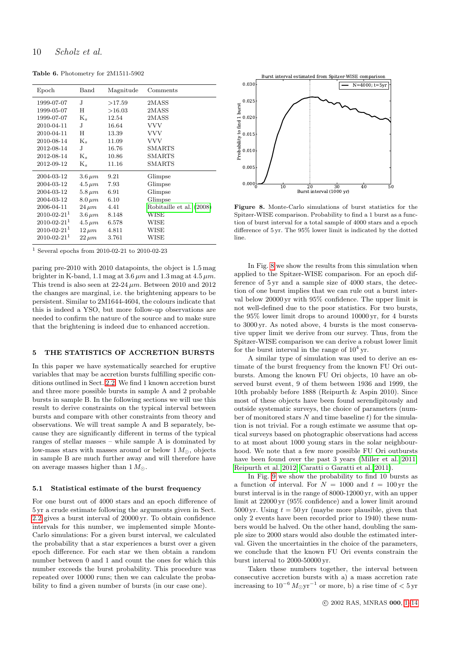Table 6. Photometry for 2M1511-5902

| Epoch                         | $_{\rm Band}$ | Magnitude | Comments                 |
|-------------------------------|---------------|-----------|--------------------------|
| 1999-07-07                    | J.            | >17.59    | 2MASS                    |
| 1999-05-07                    | Н             | >16.03    | 2MASS                    |
| 1999-07-07                    | $K_{s}$       | 12.54     | 2MASS                    |
| 2010-04-11                    | J.            | 16.64     | <b>VVV</b>               |
| 2010-04-11                    | H             | 13.39     | <b>VVV</b>               |
| 2010-08-14                    | $K_s$         | 11.09     | VVV                      |
| 2012-08-14                    | J             | 16.76     | <b>SMARTS</b>            |
| 2012-08-14                    | $K_s$         | 10.86     | <b>SMARTS</b>            |
| 2012-09-12                    | $K_s$         | 11.16     | SMARTS                   |
| 2004-03-12                    | $3.6 \,\mu m$ | 9.21      | Glimpse                  |
| 2004-03-12                    | $4.5 \,\mu m$ | 7.93      | Glimpse                  |
| 2004-03-12                    | $5.8\,\mu m$  | 6.91      | Glimpse                  |
| 2004-03-12                    | $8.0 \,\mu m$ | 6.10      | Glimpse                  |
| 2006-04-11                    | $24 \mu m$    | 4.41      | Robitaille et al. (2008) |
| $2010 - 02 - 21$ <sup>1</sup> | $3.6 \,\mu m$ | 8.148     | WISE                     |
| $2010 - 02 - 21$ <sup>1</sup> | $4.5 \,\mu m$ | 6.578     | WISE                     |
| $2010 - 02 - 21$ <sup>1</sup> | $12 \ \mu m$  | 4.811     | WISE                     |
| $2010 - 02 - 21$ <sup>1</sup> | $22 \ \mu m$  | 3.761     | WISE                     |

<span id="page-10-0"></span><sup>1</sup> Several epochs from 2010-02-21 to 2010-02-23

paring pre-2010 with 2010 datapoints, the object is 1.5 mag brighter in K-band, 1.1 mag at  $3.6 \mu m$  and  $1.3$  mag at  $4.5 \mu m$ . This trend is also seen at  $22-24 \mu m$ . Between 2010 and 2012 the changes are marginal, i.e. the brightening appears to be persistent. Similar to 2M1644-4604, the colours indicate that this is indeed a YSO, but more follow-up observations are needed to confirm the nature of the source and to make sure that the brightening is indeed due to enhanced accretion.

#### 5 THE STATISTICS OF ACCRETION BURSTS

<span id="page-10-1"></span>In this paper we have systematically searched for eruptive variables that may be accretion bursts fulfilling specific conditions outlined in Sect. [2.2.](#page-1-1) We find 1 known accretion burst and three more possible bursts in sample A and 2 probable bursts in sample B. In the following sections we will use this result to derive constraints on the typical interval between bursts and compare with other constraints from theory and observations. We will treat sample A and B separately, because they are significantly different in terms of the typical ranges of stellar masses – while sample A is dominated by low-mass stars with masses around or below  $1 M_{\odot}$ , objects in sample B are much further away and will therefore have on average masses higher than  $1 M_{\odot}$ .

#### 5.1 Statistical estimate of the burst frequency

For one burst out of 4000 stars and an epoch difference of 5 yr a crude estimate following the arguments given in Sect. [2.2](#page-1-1) gives a burst interval of 20000 yr. To obtain confidence intervals for this number, we implemented simple Monte-Carlo simulations: For a given burst interval, we calculated the probability that a star experiences a burst over a given epoch difference. For each star we then obtain a random number between 0 and 1 and count the ones for which this number exceeds the burst probability. This procedure was repeated over 10000 runs; then we can calculate the probability to find a given number of bursts (in our case one).



Figure 8. Monte-Carlo simulations of burst statistics for the Spitzer-WISE comparison. Probability to find a 1 burst as a function of burst interval for a total sample of 4000 stars and a epoch difference of 5 yr. The 95% lower limit is indicated by the dotted line.

In Fig. [8](#page-9-2) we show the results from this simulation when applied to the Spitzer-WISE comparison. For an epoch difference of 5 yr and a sample size of 4000 stars, the detection of one burst implies that we can rule out a burst interval below 20000 yr with 95% confidence. The upper limit is not well-defined due to the poor statistics. For two bursts, the 95% lower limit drops to around 10000 yr, for 4 bursts to 3000 yr. As noted above, 4 bursts is the most conservative upper limit we derive from our survey. Thus, from the Spitzer-WISE comparison we can derive a robust lower limit for the burst interval in the range of  $10^4$  yr.

A similar type of simulation was used to derive an estimate of the burst frequency from the known FU Ori outbursts. Among the known FU Ori objects, 10 have an observed burst event, 9 of them between 1936 and 1999, the 10th probably before 1888 (Reipurth & Aspin 2010). Since most of these objects have been found serendipitously and outside systematic surveys, the choice of parameters (number of monitored stars  $N$  and time baseline  $t$ ) for the simulation is not trivial. For a rough estimate we assume that optical surveys based on photographic observations had access to at most about 1000 young stars in the solar neighbourhood. We note that a few more possible FU Ori outbursts have been found over the past 3 years [\(Miller et al. 2011;](#page-13-31) [Reipurth et al. 2012;](#page-13-39) [Caratti o Garatti et al. 2011\)](#page-13-40).

In Fig. [9](#page-10-1) we show the probability to find 10 bursts as a function of interval. For  $N = 1000$  and  $t = 100$  yr the burst interval is in the range of 8000-12000 yr, with an upper limit at 22000 yr (95% confidence) and a lower limit around 5000 yr. Using  $t = 50$  yr (maybe more plausible, given that only 2 events have been recorded prior to 1940) these numbers would be halved. On the other hand, doubling the sample size to 2000 stars would also double the estimated interval. Given the uncertainties in the choice of the parameters, we conclude that the known FU Ori events constrain the burst interval to 2000-50000 yr.

Taken these numbers together, the interval between consecutive accretion bursts with a) a mass accretion rate increasing to  $10^{-6} M_{\odot} \text{yr}^{-1}$  or more, b) a rise time of  $< 5 \text{ yr}$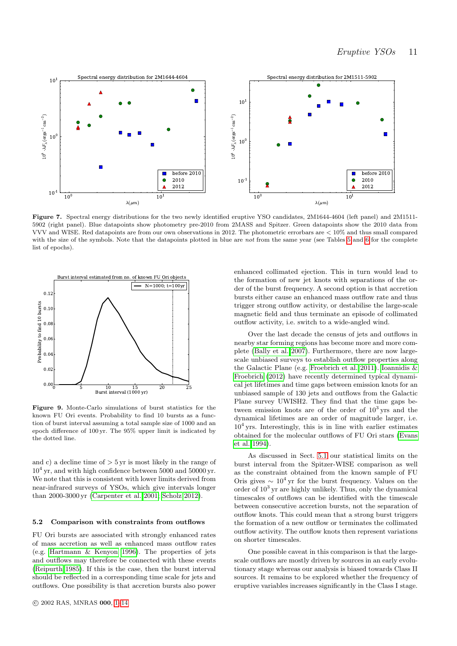

Figure 7. Spectral energy distributions for the two newly identified eruptive YSO candidates, 2M1644-4604 (left panel) and 2M1511- 5902 (right panel). Blue datapoints show photometry pre-2010 from 2MASS and Spitzer. Green datapoints show the 2010 data from VVV and WISE. Red datapoints are from our own observations in 2012. The photometric errorbars are < 10% and thus small compared with the size of the symbols. Note that the datapoints plotted in blue are not from the same year (see Tables [5](#page-8-2) and [6](#page-9-1) for the complete list of epochs).



Figure 9. Monte-Carlo simulations of burst statistics for the known FU Ori events. Probability to find 10 bursts as a function of burst interval assuming a total sample size of 1000 and an epoch difference of 100 yr. The 95% upper limit is indicated by the dotted line.

and c) a decline time of  $> 5 \,\text{yr}$  is most likely in the range of 10<sup>4</sup> yr, and with high confidence between 5000 and 50000 yr. We note that this is consistent with lower limits derived from near-infrared surveys of YSOs, which give intervals longer than 2000-3000 yr [\(Carpenter et al. 2001;](#page-13-41) [Scholz 2012\)](#page-13-42).

#### 5.2 Comparison with constraints from outflows

FU Ori bursts are associated with strongly enhanced rates of mass accretion as well as enhanced mass outflow rates (e.g. [Hartmann & Kenyon 1996\)](#page-13-2). The properties of jets and outflows may therefore be connected with these events [\(Reipurth 1985\)](#page-13-43). If this is the case, then the burst interval should be reflected in a corresponding time scale for jets and outflows. One possibility is that accretion bursts also power

enhanced collimated ejection. This in turn would lead to the formation of new jet knots with separations of the order of the burst frequency. A second option is that accretion bursts either cause an enhanced mass outflow rate and thus trigger strong outflow activity, or destabilise the large-scale magnetic field and thus terminate an episode of collimated outflow activity, i.e. switch to a wide-angled wind.

Over the last decade the census of jets and outflows in nearby star forming regions has become more and more complete [\(Bally et al. 2007\)](#page-12-5). Furthermore, there are now largescale unbiased surveys to establish outflow properties along the Galactic Plane (e.g. [Froebrich et al. 2011\)](#page-13-44). [Ioannidis &](#page-13-1) [Froebrich \(2012\)](#page-13-1) have recently determined typical dynamical jet lifetimes and time gaps between emission knots for an unbiased sample of 130 jets and outflows from the Galactic Plane survey UWISH2. They find that the time gaps between emission knots are of the order of  $10<sup>3</sup>$  yrs and the dynamical lifetimes are an order of magnitude larger, i.e. 10<sup>4</sup> yrs. Interestingly, this is in line with earlier estimates obtained for the molecular outflows of FU Ori stars [\(Evans](#page-13-45) [et al. 1994\)](#page-13-45).

As discussed in Sect. [5.1](#page-9-3) our statistical limits on the burst interval from the Spitzer-WISE comparison as well as the constraint obtained from the known sample of FU Oris gives  $\sim 10^4$  yr for the burst frequency. Values on the order of  $10^3$  yr are highly unlikely. Thus, only the dynamical timescales of outflows can be identified with the timescale between consecutive accretion bursts, not the separation of outflow knots. This could mean that a strong burst triggers the formation of a new outflow or terminates the collimated outflow activity. The outflow knots then represent variations on shorter timescales.

One possible caveat in this comparison is that the largescale outflows are mostly driven by sources in an early evolutionary stage whereas our analysis is biased towards Class II sources. It remains to be explored whether the frequency of eruptive variables increases significantly in the Class I stage.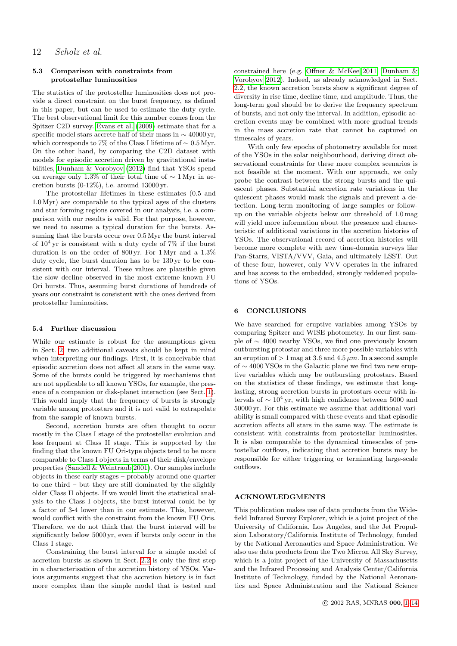#### 5.3 Comparison with constraints from protostellar luminosities

The statistics of the protostellar luminosities does not provide a direct constraint on the burst frequency, as defined in this paper, but can be used to estimate the duty cycle. The best observational limit for this number comes from the Spitzer C2D survey. [Evans et al. \(2009\)](#page-13-0) estimate that for a specific model stars accrete half of their mass in  $\sim$  40000 yr, which corresponds to 7% of the Class I lifetime of  $\sim 0.5 \,\mathrm{Myr}$ . On the other hand, by comparing the C2D dataset with models for episodic accretion driven by gravitational instabilities, [Dunham & Vorobyov \(2012\)](#page-13-6) find that YSOs spend on average only 1.3% of their total time of  $\sim 1$  Myr in accretion bursts  $(0-12\%)$ , i.e. around 13000 yr.

<span id="page-12-6"></span>The protostellar lifetimes in these estimates (0.5 and 1.0 Myr) are comparable to the typical ages of the clusters and star forming regions covered in our analysis, i.e. a comparison with our results is valid. For that purpose, however, we need to assume a typical duration for the bursts. Assuming that the bursts occur over 0.5 Myr the burst interval of  $10^4$  yr is consistent with a duty cycle of 7% if the burst duration is on the order of 800 yr. For 1 Myr and a 1.3% duty cycle, the burst duration has to be 130 yr to be consistent with our interval. These values are plausible given the slow decline observed in the most extreme known FU Ori bursts. Thus, assuming burst durations of hundreds of years our constraint is consistent with the ones derived from protostellar luminosities.

#### 5.4 Further discussion

<span id="page-12-4"></span>While our estimate is robust for the assumptions given in Sect. [2,](#page-1-0) two additional caveats should be kept in mind when interpreting our findings. First, it is conceivable that episodic accretion does not affect all stars in the same way. Some of the bursts could be triggered by mechanisms that are not applicable to all known YSOs, for example, the presence of a companion or disk-planet interaction (see Sect. [1\)](#page-0-0). This would imply that the frequency of bursts is strongly variable among protostars and it is not valid to extrapolate from the sample of known bursts.

Second, accretion bursts are often thought to occur mostly in the Class I stage of the protostellar evolution and less frequent at Class II stage. This is supported by the finding that the known FU Ori-type objects tend to be more comparable to Class I objects in terms of their disk/envelope properties [\(Sandell & Weintraub 2001\)](#page-13-46). Our samples include objects in these early stages – probably around one quarter to one third – but they are still dominated by the slightly older Class II objects. If we would limit the statistical analysis to the Class I objects, the burst interval could be by a factor of 3-4 lower than in our estimate. This, however, would conflict with the constraint from the known FU Oris. Therefore, we do not think that the burst interval will be significantly below 5000 yr, even if bursts only occur in the Class I stage.

Constraining the burst interval for a simple model of accretion bursts as shown in Sect. [2.2](#page-1-1) is only the first step in a characterisation of the accretion history of YSOs. Various arguments suggest that the accretion history is in fact more complex than the simple model that is tested and

constrained here (e.g. [Offner & McKee 2011;](#page-13-47) [Dunham &](#page-13-6) [Vorobyov 2012\)](#page-13-6). Indeed, as already acknowledged in Sect. [2.2,](#page-1-1) the known accretion bursts show a significant degree of diversity in rise time, decline time, and amplitude. Thus, the long-term goal should be to derive the frequency spectrum of bursts, and not only the interval. In addition, episodic accretion events may be combined with more gradual trends in the mass accretion rate that cannot be captured on timescales of years.

<span id="page-12-7"></span>With only few epochs of photometry available for most of the YSOs in the solar neighbourhood, deriving direct observational constraints for these more complex scenarios is not feasible at the moment. With our approach, we only probe the contrast between the strong bursts and the quiescent phases. Substantial accretion rate variations in the quiescent phases would mask the signals and prevent a detection. Long-term monitoring of large samples or followup on the variable objects below our threshold of 1.0 mag will yield more information about the presence and characteristic of additional variations in the accretion histories of YSOs. The observational record of accretion histories will become more complete with new time-domain surveys like Pan-Starrs, VISTA/VVV, Gaia, and ultimately LSST. Out of these four, however, only VVV operates in the infrared and has access to the embedded, strongly reddened populations of YSOs.

#### 6 CONCLUSIONS

We have searched for eruptive variables among YSOs by comparing Spitzer and WISE photometry. In our first sample of ∼ 4000 nearby YSOs, we find one previously known outbursting protostar and three more possible variables with an eruption of  $> 1$  mag at 3.6 and 4.5  $\mu$ m. In a second sample of ∼ 4000 YSOs in the Galactic plane we find two new eruptive variables which may be outbursting protostars. Based on the statistics of these findings, we estimate that longlasting, strong accretion bursts in protostars occur with intervals of  $\sim 10^4$  yr, with high confidence between 5000 and 50000 yr. For this estimate we assume that additional variability is small compared with these events and that episodic accretion affects all stars in the same way. The estimate is consistent with constraints from protostellar luminosities. It is also comparable to the dynamical timescales of protostellar outflows, indicating that accretion bursts may be responsible for either triggering or terminating large-scale outflows.

#### ACKNOWLEDGMENTS

<span id="page-12-5"></span><span id="page-12-3"></span><span id="page-12-2"></span><span id="page-12-1"></span><span id="page-12-0"></span>This publication makes use of data products from the Widefield Infrared Survey Explorer, which is a joint project of the University of California, Los Angeles, and the Jet Propulsion Laboratory/California Institute of Technology, funded by the National Aeronautics and Space Administration. We also use data products from the Two Micron All Sky Survey, which is a joint project of the University of Massachusetts and the Infrared Processing and Analysis Center/California Institute of Technology, funded by the National Aeronautics and Space Administration and the National Science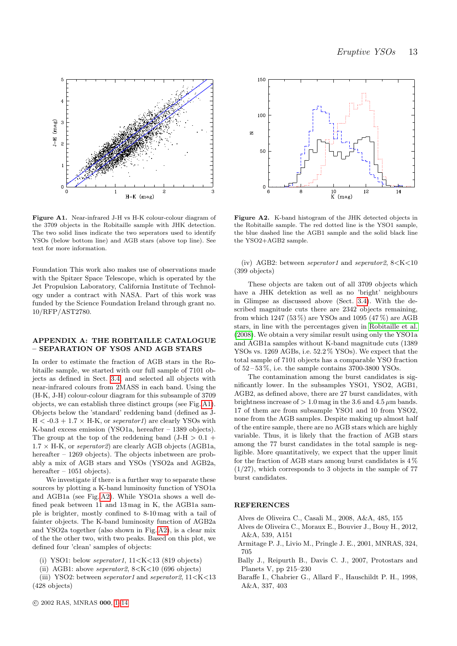<span id="page-13-40"></span><span id="page-13-37"></span><span id="page-13-34"></span><span id="page-13-15"></span><span id="page-13-11"></span><span id="page-13-4"></span>

<span id="page-13-41"></span><span id="page-13-35"></span><span id="page-13-29"></span><span id="page-13-13"></span>Figure A1. Near-infrared J-H vs H-K colour-colour diagram of the 3709 objects in the Robitaille sample with JHK detection. The two solid lines indicate the two seperators used to identify YSOs (below bottom line) and AGB stars (above top line). See text for more information.

<span id="page-13-26"></span><span id="page-13-6"></span><span id="page-13-0"></span>Foundation This work also makes use of observations made with the Spitzer Space Telescope, which is operated by the Jet Propulsion Laboratory, California Institute of Technology under a contract with NASA. Part of this work was funded by the Science Foundation Ireland through grant no. 10/RFP/AST2780.

#### <span id="page-13-45"></span><span id="page-13-22"></span>APPENDIX A: THE ROBITAILLE CATALOGUE – SEPARATION OF YSOS AND AGB STARS

<span id="page-13-44"></span><span id="page-13-23"></span><span id="page-13-9"></span>In order to estimate the fraction of AGB stars in the Robitaille sample, we started with our full sample of 7101 objects as defined in Sect. [3.4,](#page-5-0) and selected all objects with near-infrared colours from 2MASS in each band. Using the (H-K, J-H) colour-colour diagram for this subsample of 3709 objects, we can establish three distinct groups (see Fig. [A1\)](#page-12-6). Objects below the 'standard' reddening band (defined as J- $H < -0.3 + 1.7 \times H-K$ , or seperator1) are clearly YSOs with K-band excess emission (YSO1a, hereafter – 1389 objects). The group at the top of the reddening band  $(J-H > 0.1 +$  $1.7 \times H-K$ , or *seperator2*) are clearly AGB objects (AGB1a, hereafter – 1269 objects). The objects inbetween are probably a mix of AGB stars and YSOs (YSO2a and AGB2a, hereafter  $-1051$  objects).

<span id="page-13-36"></span><span id="page-13-31"></span><span id="page-13-30"></span><span id="page-13-24"></span><span id="page-13-17"></span><span id="page-13-12"></span><span id="page-13-7"></span><span id="page-13-2"></span><span id="page-13-1"></span>We investigate if there is a further way to separate these sources by plotting a K-band luminosity function of YSO1a and AGB1a (see Fig. [A2\)](#page-12-7). While YSO1a shows a well defined peak between 11 and 13 mag in K, the AGB1a sample is brighter, mostly confined to 8-10 mag with a tail of fainter objects. The K-band luminosity function of AGB2a and YSO2a together (also shown in Fig. [A2\)](#page-12-7), is a clear mix of the the other two, with two peaks. Based on this plot, we defined four 'clean' samples of objects:

<span id="page-13-21"></span>(i) YSO1: below *seperator1*,  $11 \le K \le 13$  (819 objects)

(ii) AGB1: above seperator 2,  $8 < K < 10$  (696 objects)

(iii) YSO2: between *seperator1* and *seperator2*,  $11 < K < 13$ (428 objects)

<span id="page-13-47"></span><span id="page-13-28"></span><span id="page-13-27"></span><span id="page-13-20"></span><span id="page-13-10"></span>

<span id="page-13-43"></span><span id="page-13-39"></span><span id="page-13-33"></span><span id="page-13-3"></span>Figure A2. K-band histogram of the JHK detected objects in the Robitaille sample. The red dotted line is the YSO1 sample, the blue dashed line the AGB1 sample and the solid black line the YSO2+AGB2 sample.

<span id="page-13-38"></span><span id="page-13-19"></span>(iv) AGB2: between seperator1 and seperator2,  $8 < K < 10$ (399 objects)

<span id="page-13-46"></span><span id="page-13-42"></span><span id="page-13-18"></span>These objects are taken out of all 3709 objects which have a JHK detektion as well as no 'bright' neighbours in Glimpse as discussed above (Sect. [3.4\)](#page-5-0). With the described magnitude cuts there are 2342 objects remaining, from which 1247 (53%) are YSOs and 1095 (47%) are AGB stars, in line with the percentages given in [Robitaille et al.](#page-13-33) [\(2008\)](#page-13-33). We obtain a very similar result using only the YSO1a and AGB1a samples without K-band magnitude cuts (1389 YSOs vs. 1269 AGBs, i.e. 52.2 % YSOs). We expect that the total sample of 7101 objects has a comparable YSO fraction of  $52 - 53\%$ , i.e. the sample contains 3700-3800 YSOs.

<span id="page-13-32"></span><span id="page-13-25"></span><span id="page-13-16"></span><span id="page-13-14"></span><span id="page-13-8"></span><span id="page-13-5"></span>The contamination among the burst candidates is significantly lower. In the subsamples YSO1, YSO2, AGB1, AGB2, as defined above, there are 27 burst candidates, with brightness increase of  $> 1.0$  mag in the 3.6 and 4.5  $\mu$ m bands. 17 of them are from subsample YSO1 and 10 from YSO2, none from the AGB samples. Despite making up almost half of the entire sample, there are no AGB stars which are highly variable. Thus, it is likely that the fraction of AGB stars among the 77 burst candidates in the total sample is negligible. More quantitatively, we expect that the upper limit for the fraction of AGB stars among burst candidates is  $4\%$  $(1/27)$ , which corresponds to 3 objects in the sample of 77 burst candidates.

#### REFERENCES

- Alves de Oliveira C., Casali M., 2008, A&A, 485, 155
- Alves de Oliveira C., Moraux E., Bouvier J., Bouy H., 2012, A&A, 539, A151
- Armitage P. J., Livio M., Pringle J. E., 2001, MNRAS, 324, 705
- Bally J., Reipurth B., Davis C. J., 2007, Protostars and Planets V, pp 215–230
- Baraffe I., Chabrier G., Allard F., Hauschildt P. H., 1998, A&A, 337, 403